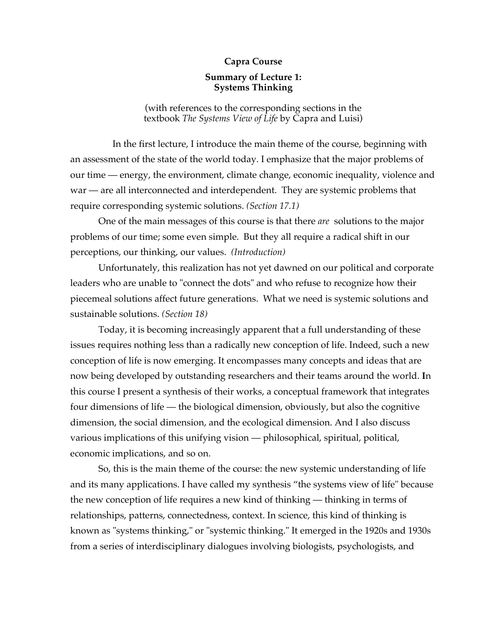## **Capra Course**

## **Summary of Lecture 1: Systems Thinking**

(with references to the corresponding sections in the textbook *The Systems View of Life* by Capra and Luisi)

In the first lecture, I introduce the main theme of the course, beginning with an assessment of the state of the world today. I emphasize that the major problems of our time — energy, the environment, climate change, economic inequality, violence and war — are all interconnected and interdependent. They are systemic problems that require corresponding systemic solutions. *(Section 17.1)*

One of the main messages of this course is that there *are* solutions to the major problems of our time; some even simple. But they all require a radical shift in our perceptions, our thinking, our values. *(Introduction)*

Unfortunately, this realization has not yet dawned on our political and corporate leaders who are unable to "connect the dots" and who refuse to recognize how their piecemeal solutions affect future generations. What we need is systemic solutions and sustainable solutions. *(Section 18)*

Today, it is becoming increasingly apparent that a full understanding of these issues requires nothing less than a radically new conception of life. Indeed, such a new conception of life is now emerging. It encompasses many concepts and ideas that are now being developed by outstanding researchers and their teams around the world. **I**n this course I present a synthesis of their works, a conceptual framework that integrates four dimensions of life — the biological dimension, obviously, but also the cognitive dimension, the social dimension, and the ecological dimension. And I also discuss various implications of this unifying vision — philosophical, spiritual, political, economic implications, and so on.

So, this is the main theme of the course: the new systemic understanding of life and its many applications. I have called my synthesis "the systems view of life" because the new conception of life requires a new kind of thinking — thinking in terms of relationships, patterns, connectedness, context. In science, this kind of thinking is known as "systems thinking," or "systemic thinking." It emerged in the 1920s and 1930s from a series of interdisciplinary dialogues involving biologists, psychologists, and